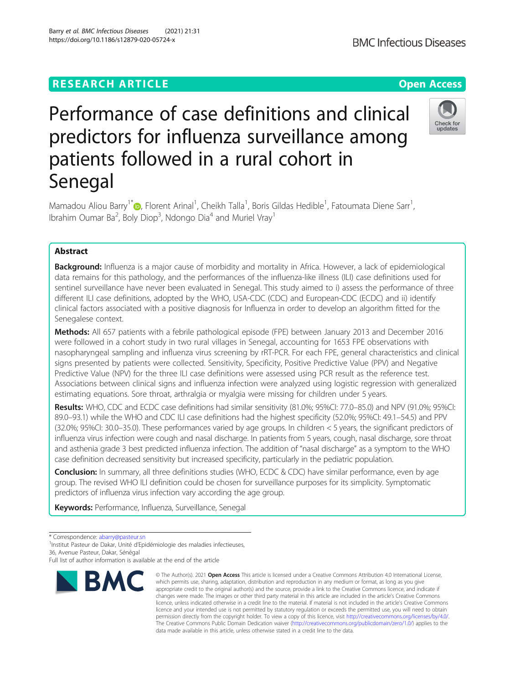# **RESEARCH ARTICLE Example 2014 12:30 The Contract of Contract ACCESS**

# Performance of case definitions and clinical predictors for influenza surveillance among patients followed in a rural cohort in Senegal

Mamadou Aliou Barry<sup>1[\\*](http://orcid.org/0000-0002-3956-8782)</sup>®, Florent Arinal<sup>1</sup>, Cheikh Talla<sup>1</sup>, Boris Gildas Hedible<sup>1</sup>, Fatoumata Diene Sarr<sup>1</sup> , Ibrahim Oumar Ba<sup>2</sup>, Boly Diop<sup>3</sup>, Ndongo Dia<sup>4</sup> and Muriel Vray<sup>1</sup>

# Abstract

**Background:** Influenza is a major cause of morbidity and mortality in Africa. However, a lack of epidemiological data remains for this pathology, and the performances of the influenza-like illness (ILI) case definitions used for sentinel surveillance have never been evaluated in Senegal. This study aimed to i) assess the performance of three different ILI case definitions, adopted by the WHO, USA-CDC (CDC) and European-CDC (ECDC) and ii) identify clinical factors associated with a positive diagnosis for Influenza in order to develop an algorithm fitted for the Senegalese context.

Methods: All 657 patients with a febrile pathological episode (FPE) between January 2013 and December 2016 were followed in a cohort study in two rural villages in Senegal, accounting for 1653 FPE observations with nasopharyngeal sampling and influenza virus screening by rRT-PCR. For each FPE, general characteristics and clinical signs presented by patients were collected. Sensitivity, Specificity, Positive Predictive Value (PPV) and Negative Predictive Value (NPV) for the three ILI case definitions were assessed using PCR result as the reference test. Associations between clinical signs and influenza infection were analyzed using logistic regression with generalized estimating equations. Sore throat, arthralgia or myalgia were missing for children under 5 years.

Results: WHO, CDC and ECDC case definitions had similar sensitivity (81.0%; 95%CI: 77.0–85.0) and NPV (91.0%; 95%CI: 89.0–93.1) while the WHO and CDC ILI case definitions had the highest specificity (52.0%; 95%CI: 49.1–54.5) and PPV (32.0%; 95%CI: 30.0–35.0). These performances varied by age groups. In children < 5 years, the significant predictors of influenza virus infection were cough and nasal discharge. In patients from 5 years, cough, nasal discharge, sore throat and asthenia grade 3 best predicted influenza infection. The addition of "nasal discharge" as a symptom to the WHO case definition decreased sensitivity but increased specificity, particularly in the pediatric population.

Conclusion: In summary, all three definitions studies (WHO, ECDC & CDC) have similar performance, even by age group. The revised WHO ILI definition could be chosen for surveillance purposes for its simplicity. Symptomatic predictors of influenza virus infection vary according the age group.

Keywords: Performance, Influenza, Surveillance, Senegal

\* Correspondence: [abarry@pasteur.sn](mailto:abarry@pasteur.sn) <sup>1</sup>

<sup>1</sup>Institut Pasteur de Dakar, Unité d'Epidémiologie des maladies infectieuses, 36, Avenue Pasteur, Dakar, Sénégal



<sup>©</sup> The Author(s), 2021 **Open Access** This article is licensed under a Creative Commons Attribution 4.0 International License, which permits use, sharing, adaptation, distribution and reproduction in any medium or format, as long as you give appropriate credit to the original author(s) and the source, provide a link to the Creative Commons licence, and indicate if changes were made. The images or other third party material in this article are included in the article's Creative Commons licence, unless indicated otherwise in a credit line to the material. If material is not included in the article's Creative Commons licence and your intended use is not permitted by statutory regulation or exceeds the permitted use, you will need to obtain permission directly from the copyright holder. To view a copy of this licence, visit [http://creativecommons.org/licenses/by/4.0/.](http://creativecommons.org/licenses/by/4.0/) The Creative Commons Public Domain Dedication waiver [\(http://creativecommons.org/publicdomain/zero/1.0/](http://creativecommons.org/publicdomain/zero/1.0/)) applies to the data made available in this article, unless otherwise stated in a credit line to the data.



Full list of author information is available at the end of the article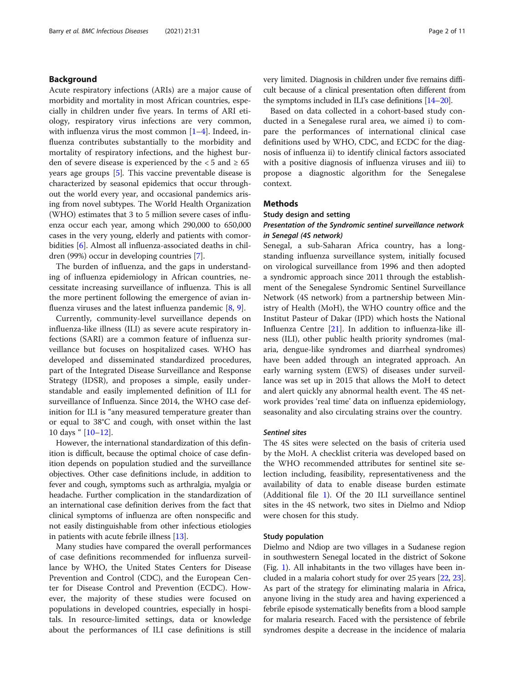# Background

Acute respiratory infections (ARIs) are a major cause of morbidity and mortality in most African countries, especially in children under five years. In terms of ARI etiology, respiratory virus infections are very common, with influenza virus the most common  $[1-4]$  $[1-4]$  $[1-4]$  $[1-4]$ . Indeed, influenza contributes substantially to the morbidity and mortality of respiratory infections, and the highest burden of severe disease is experienced by the  $< 5$  and  $\geq 65$ years age groups [[5\]](#page-9-0). This vaccine preventable disease is characterized by seasonal epidemics that occur throughout the world every year, and occasional pandemics arising from novel subtypes. The World Health Organization (WHO) estimates that 3 to 5 million severe cases of influenza occur each year, among which 290,000 to 650,000 cases in the very young, elderly and patients with comorbidities [[6](#page-9-0)]. Almost all influenza-associated deaths in children (99%) occur in developing countries [\[7\]](#page-9-0).

The burden of influenza, and the gaps in understanding of influenza epidemiology in African countries, necessitate increasing surveillance of influenza. This is all the more pertinent following the emergence of avian influenza viruses and the latest influenza pandemic [\[8](#page-9-0), [9\]](#page-9-0).

Currently, community-level surveillance depends on influenza-like illness (ILI) as severe acute respiratory infections (SARI) are a common feature of influenza surveillance but focuses on hospitalized cases. WHO has developed and disseminated standardized procedures, part of the Integrated Disease Surveillance and Response Strategy (IDSR), and proposes a simple, easily understandable and easily implemented definition of ILI for surveillance of Influenza. Since 2014, the WHO case definition for ILI is "any measured temperature greater than or equal to 38°C and cough, with onset within the last 10 days " [[10](#page-9-0)–[12](#page-10-0)].

However, the international standardization of this definition is difficult, because the optimal choice of case definition depends on population studied and the surveillance objectives. Other case definitions include, in addition to fever and cough, symptoms such as arthralgia, myalgia or headache. Further complication in the standardization of an international case definition derives from the fact that clinical symptoms of influenza are often nonspecific and not easily distinguishable from other infectious etiologies in patients with acute febrile illness [\[13\]](#page-10-0).

Many studies have compared the overall performances of case definitions recommended for influenza surveillance by WHO, the United States Centers for Disease Prevention and Control (CDC), and the European Center for Disease Control and Prevention (ECDC). However, the majority of these studies were focused on populations in developed countries, especially in hospitals. In resource-limited settings, data or knowledge about the performances of ILI case definitions is still very limited. Diagnosis in children under five remains difficult because of a clinical presentation often different from the symptoms included in ILI's case definitions [\[14](#page-10-0)–[20\]](#page-10-0).

Based on data collected in a cohort-based study conducted in a Senegalese rural area, we aimed i) to compare the performances of international clinical case definitions used by WHO, CDC, and ECDC for the diagnosis of influenza ii) to identify clinical factors associated with a positive diagnosis of influenza viruses and iii) to propose a diagnostic algorithm for the Senegalese context.

# Methods

# Study design and setting

# Presentation of the Syndromic sentinel surveillance network in Senegal (4S network)

Senegal, a sub-Saharan Africa country, has a longstanding influenza surveillance system, initially focused on virological surveillance from 1996 and then adopted a syndromic approach since 2011 through the establishment of the Senegalese Syndromic Sentinel Surveillance Network (4S network) from a partnership between Ministry of Health (MoH), the WHO country office and the Institut Pasteur of Dakar (IPD) which hosts the National Influenza Centre [[21\]](#page-10-0). In addition to influenza-like illness (ILI), other public health priority syndromes (malaria, dengue-like syndromes and diarrheal syndromes) have been added through an integrated approach. An early warning system (EWS) of diseases under surveillance was set up in 2015 that allows the MoH to detect and alert quickly any abnormal health event. The 4S network provides 'real time' data on influenza epidemiology, seasonality and also circulating strains over the country.

# Sentinel sites

The 4S sites were selected on the basis of criteria used by the MoH. A checklist criteria was developed based on the WHO recommended attributes for sentinel site selection including, feasibility, representativeness and the availability of data to enable disease burden estimate (Additional file [1](#page-9-0)). Of the 20 ILI surveillance sentinel sites in the 4S network, two sites in Dielmo and Ndiop were chosen for this study.

# Study population

Dielmo and Ndiop are two villages in a Sudanese region in southwestern Senegal located in the district of Sokone (Fig. [1\)](#page-2-0). All inhabitants in the two villages have been included in a malaria cohort study for over 25 years [\[22,](#page-10-0) [23](#page-10-0)]. As part of the strategy for eliminating malaria in Africa, anyone living in the study area and having experienced a febrile episode systematically benefits from a blood sample for malaria research. Faced with the persistence of febrile syndromes despite a decrease in the incidence of malaria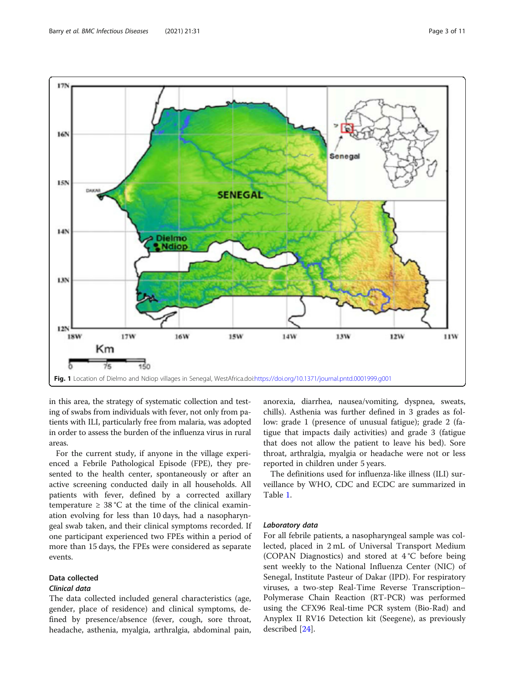<span id="page-2-0"></span>

in this area, the strategy of systematic collection and testing of swabs from individuals with fever, not only from patients with ILI, particularly free from malaria, was adopted in order to assess the burden of the influenza virus in rural areas.

For the current study, if anyone in the village experienced a Febrile Pathological Episode (FPE), they presented to the health center, spontaneously or after an active screening conducted daily in all households. All patients with fever, defined by a corrected axillary temperature  $\geq 38$  °C at the time of the clinical examination evolving for less than 10 days, had a nasopharyngeal swab taken, and their clinical symptoms recorded. If one participant experienced two FPEs within a period of more than 15 days, the FPEs were considered as separate events.

# Data collected

# Clinical data

The data collected included general characteristics (age, gender, place of residence) and clinical symptoms, defined by presence/absence (fever, cough, sore throat, headache, asthenia, myalgia, arthralgia, abdominal pain, anorexia, diarrhea, nausea/vomiting, dyspnea, sweats, chills). Asthenia was further defined in 3 grades as follow: grade 1 (presence of unusual fatigue); grade 2 (fatigue that impacts daily activities) and grade 3 (fatigue that does not allow the patient to leave his bed). Sore throat, arthralgia, myalgia or headache were not or less reported in children under 5 years.

The definitions used for influenza-like illness (ILI) surveillance by WHO, CDC and ECDC are summarized in Table [1.](#page-3-0)

# Laboratory data

For all febrile patients, a nasopharyngeal sample was collected, placed in 2 mL of Universal Transport Medium (COPAN Diagnostics) and stored at 4 °C before being sent weekly to the National Influenza Center (NIC) of Senegal, Institute Pasteur of Dakar (IPD). For respiratory viruses, a two-step Real-Time Reverse Transcription– Polymerase Chain Reaction (RT-PCR) was performed using the CFX96 Real-time PCR system (Bio-Rad) and Anyplex II RV16 Detection kit (Seegene), as previously described [[24](#page-10-0)].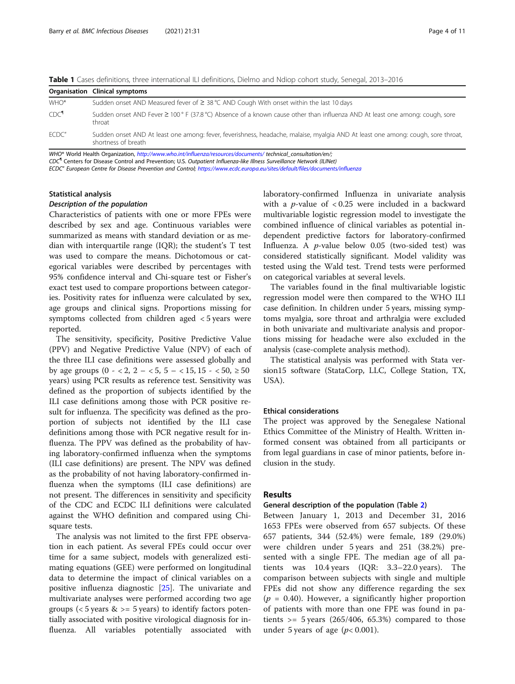<span id="page-3-0"></span>

|  |  |  |  |  |  |  | Table 1 Cases definitions, three international ILI definitions, Dielmo and Ndiop cohort study, Senegal, 2013-2016 |
|--|--|--|--|--|--|--|-------------------------------------------------------------------------------------------------------------------|
|--|--|--|--|--|--|--|-------------------------------------------------------------------------------------------------------------------|

|                  | Organisation Clinical symptoms                                                                                                                          |
|------------------|---------------------------------------------------------------------------------------------------------------------------------------------------------|
| WHO*             | Sudden onset AND Measured fever of $\geq$ 38 °C AND Cough With onset within the last 10 days                                                            |
| CDC <sup>q</sup> | Sudden onset AND Fever ≥ 100 ° F (37.8 °C) Absence of a known cause other than influenza AND At least one among: cough, sore<br>throat                  |
| ECDC"            | Sudden onset AND At least one among: fever, feverishness, headache, malaise, myalgia AND At least one among: cough, sore throat,<br>shortness of breath |

WHO\* World Health Organization, <http://www.who.int/influenza/resources/documents/> technical\_consultation/en/;

CDC¶ Centers for Disease Control and Prevention; U.S. Outpatient Influenza-like Illness Surveillance Network (ILINet)

ECDC" European Centre for Disease Prevention and Control; <https://www.ecdc.europa.eu/sites/default/files/documents/influenza>

# Statistical analysis

#### Description of the population

Characteristics of patients with one or more FPEs were described by sex and age. Continuous variables were summarized as means with standard deviation or as median with interquartile range (IQR); the student's T test was used to compare the means. Dichotomous or categorical variables were described by percentages with 95% confidence interval and Chi-square test or Fisher's exact test used to compare proportions between categories. Positivity rates for influenza were calculated by sex, age groups and clinical signs. Proportions missing for symptoms collected from children aged < 5 years were reported.

The sensitivity, specificity, Positive Predictive Value (PPV) and Negative Predictive Value (NPV) of each of the three ILI case definitions were assessed globally and by age groups (0 - < 2, 2 - < 5, 5 - < 15, 15 - < 50,  $\geq$  50 years) using PCR results as reference test. Sensitivity was defined as the proportion of subjects identified by the ILI case definitions among those with PCR positive result for influenza. The specificity was defined as the proportion of subjects not identified by the ILI case definitions among those with PCR negative result for influenza. The PPV was defined as the probability of having laboratory-confirmed influenza when the symptoms (ILI case definitions) are present. The NPV was defined as the probability of not having laboratory-confirmed influenza when the symptoms (ILI case definitions) are not present. The differences in sensitivity and specificity of the CDC and ECDC ILI definitions were calculated against the WHO definition and compared using Chisquare tests.

The analysis was not limited to the first FPE observation in each patient. As several FPEs could occur over time for a same subject, models with generalized estimating equations (GEE) were performed on longitudinal data to determine the impact of clinical variables on a positive influenza diagnostic [[25](#page-10-0)]. The univariate and multivariate analyses were performed according two age groups ( $<$  5 years &  $>$  = 5 years) to identify factors potentially associated with positive virological diagnosis for influenza. All variables potentially associated with laboratory-confirmed Influenza in univariate analysis with a  $p$ -value of < 0.25 were included in a backward multivariable logistic regression model to investigate the combined influence of clinical variables as potential independent predictive factors for laboratory-confirmed Influenza. A  $p$ -value below 0.05 (two-sided test) was considered statistically significant. Model validity was tested using the Wald test. Trend tests were performed on categorical variables at several levels.

The variables found in the final multivariable logistic regression model were then compared to the WHO ILI case definition. In children under 5 years, missing symptoms myalgia, sore throat and arthralgia were excluded in both univariate and multivariate analysis and proportions missing for headache were also excluded in the analysis (case-complete analysis method).

The statistical analysis was performed with Stata version15 software (StataCorp, LLC, College Station, TX, USA).

# Ethical considerations

The project was approved by the Senegalese National Ethics Committee of the Ministry of Health. Written informed consent was obtained from all participants or from legal guardians in case of minor patients, before inclusion in the study.

# Results

# General description of the population (Table [2](#page-4-0))

Between January 1, 2013 and December 31, 2016 1653 FPEs were observed from 657 subjects. Of these 657 patients, 344 (52.4%) were female, 189 (29.0%) were children under 5 years and 251 (38.2%) presented with a single FPE. The median age of all patients was 10.4 years (IQR: 3.3–22.0 years). The comparison between subjects with single and multiple FPEs did not show any difference regarding the sex  $(p = 0.40)$ . However, a significantly higher proportion of patients with more than one FPE was found in patients  $>$  = 5 years (265/406, 65.3%) compared to those under 5 years of age  $(p< 0.001)$ .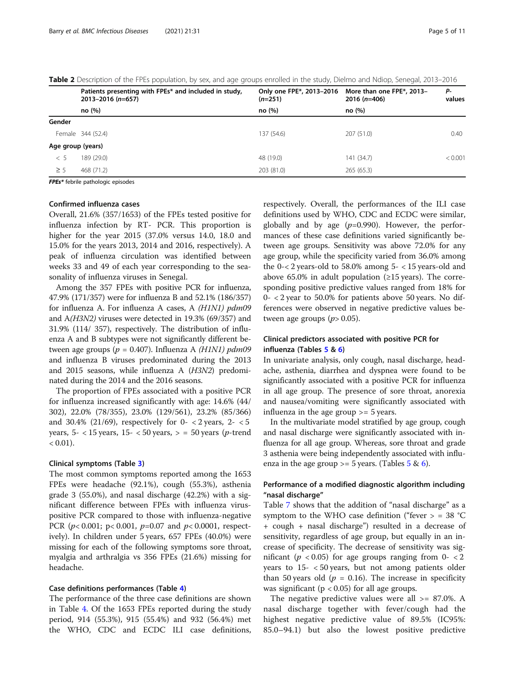|                   | Patients presenting with FPEs* and included in study,<br>$2013 - 2016$ (n=657) | Only one FPE*, 2013-2016<br>$(n=251)$ | More than one FPE*, 2013-<br>$2016$ (n=406) | Р-<br>values |
|-------------------|--------------------------------------------------------------------------------|---------------------------------------|---------------------------------------------|--------------|
|                   | no (%)                                                                         | no (%)                                | no (%)                                      |              |
| Gender            |                                                                                |                                       |                                             |              |
|                   | Female 344 (52.4)                                                              | 137 (54.6)                            | 207 (51.0)                                  | 0.40         |
| Age group (years) |                                                                                |                                       |                                             |              |
| < 5               | 189 (29.0)                                                                     | 48 (19.0)                             | 141 (34.7)                                  | < 0.001      |
| $\geq$ 5          | 468 (71.2)                                                                     | 203 (81.0)                            | 265(65.3)                                   |              |
|                   |                                                                                |                                       |                                             |              |

<span id="page-4-0"></span>Table 2 Description of the FPEs population, by sex, and age groups enrolled in the study, Dielmo and Ndiop, Senegal, 2013–2016

FPEs\* febrile pathologic episodes

# Confirmed influenza cases

Overall, 21.6% (357/1653) of the FPEs tested positive for influenza infection by RT- PCR. This proportion is higher for the year 2015 (37.0% versus 14.0, 18.0 and 15.0% for the years 2013, 2014 and 2016, respectively). A peak of influenza circulation was identified between weeks 33 and 49 of each year corresponding to the seasonality of influenza viruses in Senegal.

Among the 357 FPEs with positive PCR for influenza, 47.9% (171/357) were for influenza B and 52.1% (186/357) for influenza A. For influenza A cases, A (H1N1) pdm09 and A(H3N2) viruses were detected in 19.3% (69/357) and 31.9% (114/ 357), respectively. The distribution of influenza A and B subtypes were not significantly different between age groups ( $p = 0.407$ ). Influenza A (H1N1) pdm09 and influenza B viruses predominated during the 2013 and 2015 seasons, while influenza A (H3N2) predominated during the 2014 and the 2016 seasons.

The proportion of FPEs associated with a positive PCR for influenza increased significantly with age: 14.6% (44/ 302), 22.0% (78/355), 23.0% (129/561), 23.2% (85/366) and 30.4% (21/69), respectively for  $0-$  < 2 years,  $2-$  < 5 years,  $5- < 15$  years,  $15- < 50$  years,  $> = 50$  years (*p*-trend  $< 0.01$ ).

# Clinical symptoms (Table [3](#page-5-0))

The most common symptoms reported among the 1653 FPEs were headache (92.1%), cough (55.3%), asthenia grade 3 (55.0%), and nasal discharge (42.2%) with a significant difference between FPEs with influenza viruspositive PCR compared to those with influenza-negative PCR ( $p$ < 0.001;  $p$  < 0.001,  $p$ =0.07 and  $p$  < 0.0001, respectively). In children under 5 years, 657 FPEs (40.0%) were missing for each of the following symptoms sore throat, myalgia and arthralgia vs 356 FPEs (21.6%) missing for headache.

# Case definitions performances (Table [4\)](#page-6-0)

The performance of the three case definitions are shown in Table [4.](#page-6-0) Of the 1653 FPEs reported during the study period, 914 (55.3%), 915 (55.4%) and 932 (56.4%) met the WHO, CDC and ECDC ILI case definitions,

respectively. Overall, the performances of the ILI case definitions used by WHO, CDC and ECDC were similar, globally and by age  $(p=0.990)$ . However, the performances of these case definitions varied significantly between age groups. Sensitivity was above 72.0% for any age group, while the specificity varied from 36.0% among the  $0 < 2$  years-old to 58.0% among  $5 < 15$  years-old and above 65.0% in adult population ( $\geq$ 15 years). The corresponding positive predictive values ranged from 18% for 0- < 2 year to 50.0% for patients above 50 years. No differences were observed in negative predictive values between age groups  $(p> 0.05)$ .

# Clinical predictors associated with positive PCR for influenza (Tables [5](#page-7-0) & [6](#page-8-0))

In univariate analysis, only cough, nasal discharge, headache, asthenia, diarrhea and dyspnea were found to be significantly associated with a positive PCR for influenza in all age group. The presence of sore throat, anorexia and nausea/vomiting were significantly associated with influenza in the age group >= 5 years.

In the multivariate model stratified by age group, cough and nasal discharge were significantly associated with influenza for all age group. Whereas, sore throat and grade 3 asthenia were being independently associated with influenza in the age group  $>$  = [5](#page-7-0) years. (Tables 5 & [6](#page-8-0)).

# Performance of a modified diagnostic algorithm including "nasal discharge"

Table [7](#page-8-0) shows that the addition of "nasal discharge" as a symptom to the WHO case definition ("fever  $>$  = 38 °C + cough + nasal discharge") resulted in a decrease of sensitivity, regardless of age group, but equally in an increase of specificity. The decrease of sensitivity was significant ( $p < 0.05$ ) for age groups ranging from 0  $< 2$ years to 15- < 50 years, but not among patients older than 50 years old ( $p = 0.16$ ). The increase in specificity was significant ( $p < 0.05$ ) for all age groups.

The negative predictive values were all  $\ge$  = 87.0%. A nasal discharge together with fever/cough had the highest negative predictive value of 89.5% (IC95%: 85.0–94.1) but also the lowest positive predictive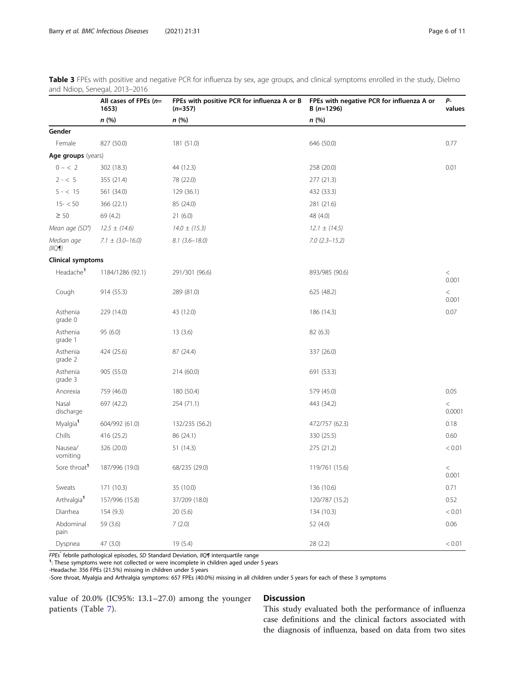|                          | All cases of FPEs $(n=$<br>1653) | FPEs with positive PCR for influenza A or B<br>$(n=357)$ | FPEs with negative PCR for influenza A or<br>$B(n=1296)$ | $P-$<br>values   |
|--------------------------|----------------------------------|----------------------------------------------------------|----------------------------------------------------------|------------------|
|                          | n(%)                             | n (%)                                                    | n(%)                                                     |                  |
| Gender                   |                                  |                                                          |                                                          |                  |
| Female                   | 827 (50.0)                       | 181 (51.0)                                               | 646 (50.0)                                               | 0.77             |
| Age groups (years)       |                                  |                                                          |                                                          |                  |
| $0 - < 2$                | 302 (18.3)                       | 44 (12.3)                                                | 258 (20.0)                                               | 0.01             |
| $2 - < 5$                | 355 (21.4)                       | 78 (22.0)                                                | 277 (21.3)                                               |                  |
| $5 - < 15$               | 561 (34.0)                       | 129 (36.1)                                               | 432 (33.3)                                               |                  |
| $15 - 50$                | 366 (22.1)                       | 85 (24.0)                                                | 281 (21.6)                                               |                  |
| $\geq 50$                | 69 (4.2)                         | 21(6.0)                                                  | 48 (4.0)                                                 |                  |
| Mean age (SD°)           | $12.5 \pm (14.6)$                | $14.0 \pm (15.3)$                                        | $12.1 \pm (14.5)$                                        |                  |
| Median age<br>(11Q)      | $7.1 \pm (3.0 - 16.0)$           | $8.1(3.6 - 18.0)$                                        | $7.0(2.3 - 15.2)$                                        |                  |
| <b>Clinical symptoms</b> |                                  |                                                          |                                                          |                  |
| Headache <sup>1</sup>    | 1184/1286 (92.1)                 | 291/301 (96.6)                                           | 893/985 (90.6)                                           | $\,<$<br>0.001   |
| Cough                    | 914(55.3)                        | 289 (81.0)                                               | 625 (48.2)                                               | $\,<\,$<br>0.001 |
| Asthenia<br>grade 0      | 229 (14.0)                       | 43 (12.0)                                                | 186 (14.3)                                               | 0.07             |
| Asthenia<br>grade 1      | 95 (6.0)                         | 13(3.6)                                                  | 82 (6.3)                                                 |                  |
| Asthenia<br>grade 2      | 424 (25.6)                       | 87 (24.4)                                                | 337 (26.0)                                               |                  |
| Asthenia<br>grade 3      | 905 (55.0)                       | 214 (60.0)                                               | 691 (53.3)                                               |                  |
| Anorexia                 | 759 (46.0)                       | 180 (50.4)                                               | 579 (45.0)                                               | 0.05             |
| Nasal<br>discharge       | 697 (42.2)                       | 254 (71.1)                                               | 443 (34.2)                                               | $\lt$<br>0.0001  |
| Myalgia <sup>1</sup>     | 604/992 (61.0)                   | 132/235 (56.2)                                           | 472/757 (62.3)                                           | 0.18             |
| Chills                   | 416 (25.2)                       | 86 (24.1)                                                | 330 (25.5)                                               | 0.60             |
| Nausea/<br>vomiting      | 326 (20.0)                       | 51 (14.3)                                                | 275 (21.2)                                               | < 0.01           |
| Sore throat <sup>1</sup> | 187/996 (19.0)                   | 68/235 (29.0)                                            | 119/761 (15.6)                                           | $\,<$<br>0.001   |
| Sweats                   | 171 (10.3)                       | 35 (10.0)                                                | 136 (10.6)                                               | 0.71             |
| Arthralgia <sup>1</sup>  | 157/996 (15.8)                   | 37/209 (18.0)                                            | 120/787 (15.2)                                           | 0.52             |
| Diarrhea                 | 154 (9.3)                        | 20(5.6)                                                  | 134 (10.3)                                               | < 0.01           |
| Abdominal<br>pain        | 59 (3.6)                         | 7(2.0)                                                   | 52 (4.0)                                                 | 0.06             |
| Dyspnea                  | 47 (3.0)                         | 19(5.4)                                                  | 28 (2.2)                                                 | < 0.01           |

<span id="page-5-0"></span>Table 3 FPEs with positive and negative PCR for influenza by sex, age groups, and clinical symptoms enrolled in the study, Dielmo and Ndiop, Senegal, 2013–2016

FPEs" febrile pathological episodes, SD Standard Deviation, IIQ¶ interquartile range

<sup>1</sup>: These symptoms were not collected or were incomplete in children aged under 5 years

-Headache: 356 FPEs (21.5%) missing in children under 5 years

-Sore throat, Myalgia and Arthralgia symptoms: 657 FPEs (40.0%) missing in all children under 5 years for each of these 3 symptoms

value of 20.0% (IC95%: 13.1–27.0) among the younger patients (Table [7](#page-8-0)).

# Discussion

This study evaluated both the performance of influenza case definitions and the clinical factors associated with the diagnosis of influenza, based on data from two sites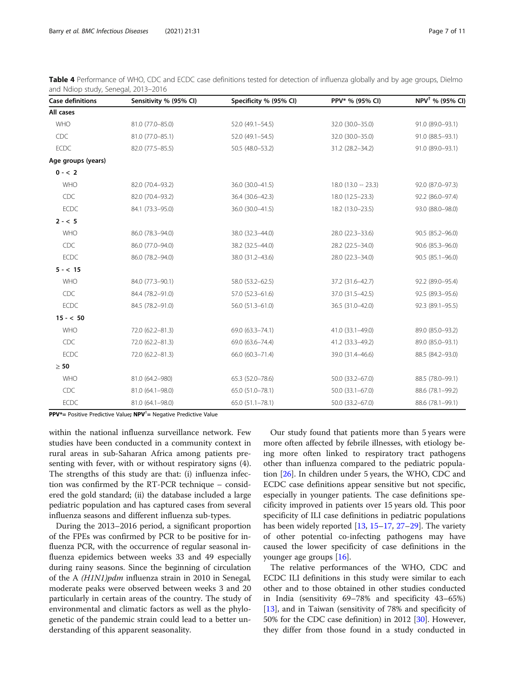| <b>Case definitions</b> | Sensitivity % (95% CI) | Specificity % (95% CI) | PPV* % (95% CI)        | NPV <sup>†</sup> % (95% CI) |
|-------------------------|------------------------|------------------------|------------------------|-----------------------------|
| All cases               |                        |                        |                        |                             |
| <b>WHO</b>              | 81.0 (77.0-85.0)       | 52.0 (49.1-54.5)       | 32.0 (30.0-35.0)       | 91.0 (89.0-93.1)            |
| CDC                     | 81.0 (77.0-85.1)       | 52.0 (49.1-54.5)       | 32.0 (30.0-35.0)       | 91.0 (88.5-93.1)            |
| <b>ECDC</b>             | 82.0 (77.5-85.5)       | 50.5 (48.0-53.2)       | 31.2 (28.2-34.2)       | 91.0 (89.0-93.1)            |
| Age groups (years)      |                        |                        |                        |                             |
| $0 - 2$                 |                        |                        |                        |                             |
| <b>WHO</b>              | 82.0 (70.4-93.2)       | 36.0 (30.0-41.5)       | $18.0$ (13.0 $-$ 23.3) | 92.0 (87.0-97.3)            |
| CDC                     | 82.0 (70.4-93.2)       | 36.4 (30.6-42.3)       | 18.0 (12.5-23.3)       | 92.2 (86.0-97.4)            |
| <b>ECDC</b>             | 84.1 (73.3-95.0)       | 36.0 (30.0-41.5)       | 18.2 (13.0-23.5)       | 93.0 (88.0-98.0)            |
| $2 - 5$                 |                        |                        |                        |                             |
| <b>WHO</b>              | 86.0 (78.3-94.0)       | 38.0 (32.3-44.0)       | 28.0 (22.3-33.6)       | 90.5 (85.2-96.0)            |
| <b>CDC</b>              | 86.0 (77.0-94.0)       | 38.2 (32.5-44.0)       | 28.2 (22.5-34.0)       | 90.6 (85.3-96.0)            |
| <b>ECDC</b>             | 86.0 (78.2-94.0)       | 38.0 (31.2-43.6)       | 28.0 (22.3-34.0)       | 90.5 (85.1-96.0)            |
| $5 - < 15$              |                        |                        |                        |                             |
| WHO                     | 84.0 (77.3-90.1)       | 58.0 (53.2-62.5)       | 37.2 (31.6-42.7)       | 92.2 (89.0-95.4)            |
| CDC                     | 84.4 (78.2-91.0)       | 57.0 (52.3-61.6)       | 37.0 (31.5-42.5)       | 92.5 (89.3-95.6)            |
| <b>ECDC</b>             | 84.5 (78.2-91.0)       | 56.0 (51.3-61.0)       | 36.5 (31.0-42.0)       | 92.3 (89.1-95.5)            |
| $15 - < 50$             |                        |                        |                        |                             |
| <b>WHO</b>              | 72.0 (62.2-81.3)       | 69.0 (63.3-74.1)       | 41.0 (33.1-49.0)       | 89.0 (85.0-93.2)            |
| <b>CDC</b>              | 72.0 (62.2-81.3)       | 69.0 (63.6-74.4)       | 41.2 (33.3-49.2)       | 89.0 (85.0-93.1)            |
| <b>ECDC</b>             | 72.0 (62.2-81.3)       | 66.0 (60.3-71.4)       | 39.0 (31.4-46.6)       | 88.5 (84.2-93.0)            |
| $\geq 50$               |                        |                        |                        |                             |
| <b>WHO</b>              | 81.0 (64.2-980)        | 65.3 (52.0-78.6)       | 50.0 (33.2-67.0)       | 88.5 (78.0-99.1)            |
| CDC                     | 81.0 (64.1-98.0)       | 65.0 (51.0-78.1)       | $50.0$ $(33.1 - 67.0)$ | 88.6 (78.1-99.2)            |
| <b>ECDC</b>             | 81.0 (64.1-98.0)       | 65.0 (51.1-78.1)       | 50.0 (33.2-67.0)       | 88.6 (78.1-99.1)            |

<span id="page-6-0"></span>Table 4 Performance of WHO, CDC and ECDC case definitions tested for detection of influenza globally and by age groups, Dielmo and Ndiop study, Senegal, 2013–2016

PPV\*= Positive Predictive Value; NPV<sup>†</sup>= Negative Predictive Value

within the national influenza surveillance network. Few studies have been conducted in a community context in rural areas in sub-Saharan Africa among patients presenting with fever, with or without respiratory signs (4). The strengths of this study are that: (i) influenza infection was confirmed by the RT-PCR technique – considered the gold standard; (ii) the database included a large pediatric population and has captured cases from several influenza seasons and different influenza sub-types.

During the 2013–2016 period, a significant proportion of the FPEs was confirmed by PCR to be positive for influenza PCR, with the occurrence of regular seasonal influenza epidemics between weeks 33 and 49 especially during rainy seasons. Since the beginning of circulation of the A (H1N1)pdm influenza strain in 2010 in Senegal, moderate peaks were observed between weeks 3 and 20 particularly in certain areas of the country. The study of environmental and climatic factors as well as the phylogenetic of the pandemic strain could lead to a better understanding of this apparent seasonality.

Our study found that patients more than 5 years were more often affected by febrile illnesses, with etiology being more often linked to respiratory tract pathogens other than influenza compared to the pediatric population [\[26](#page-10-0)]. In children under 5 years, the WHO, CDC and ECDC case definitions appear sensitive but not specific, especially in younger patients. The case definitions specificity improved in patients over 15 years old. This poor specificity of ILI case definitions in pediatric populations has been widely reported  $[13, 15-17, 27-29]$  $[13, 15-17, 27-29]$  $[13, 15-17, 27-29]$  $[13, 15-17, 27-29]$  $[13, 15-17, 27-29]$  $[13, 15-17, 27-29]$  $[13, 15-17, 27-29]$  $[13, 15-17, 27-29]$  $[13, 15-17, 27-29]$  $[13, 15-17, 27-29]$ . The variety of other potential co-infecting pathogens may have caused the lower specificity of case definitions in the younger age groups [\[16\]](#page-10-0).

The relative performances of the WHO, CDC and ECDC ILI definitions in this study were similar to each other and to those obtained in other studies conducted in India (sensitivity 69–78% and specificity 43–65%) [[13\]](#page-10-0), and in Taiwan (sensitivity of 78% and specificity of 50% for the CDC case definition) in 2012 [[30](#page-10-0)]. However, they differ from those found in a study conducted in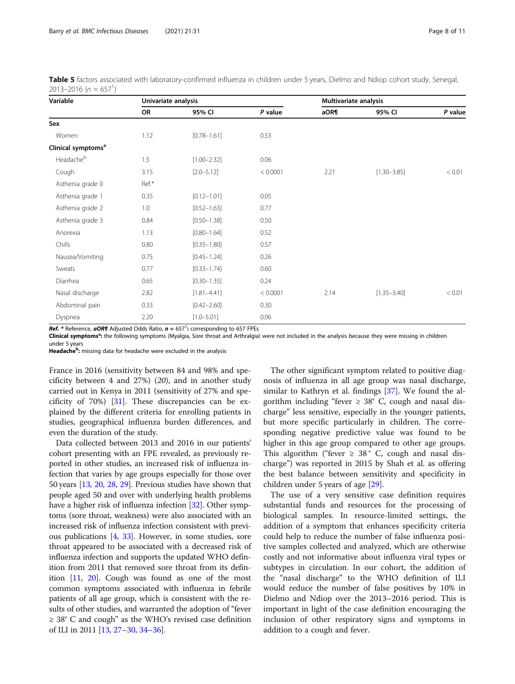| Variable                       | Univariate analysis |                 |          | Multivariate analysis |                 |         |  |
|--------------------------------|---------------------|-----------------|----------|-----------------------|-----------------|---------|--|
|                                | OR                  | 95% CI          | P value  | aOR¶                  | 95% CI          | P value |  |
| Sex                            |                     |                 |          |                       |                 |         |  |
| Women                          | 1.12                | $[0.78 - 1.61]$ | 0.53     |                       |                 |         |  |
| Clinical symptoms <sup>a</sup> |                     |                 |          |                       |                 |         |  |
| Headacheb                      | 1.5                 | $[1.00 - 2.32]$ | 0.06     |                       |                 |         |  |
| Cough                          | 3.15                | $[2.0 - 5.12]$  | < 0.0001 | 2.21                  | $[1.30 - 3.85]$ | < 0.01  |  |
| Asthenia grade 0               | Ref.*               |                 |          |                       |                 |         |  |
| Asthenia grade 1               | 0.35                | $[0.12 - 1.01]$ | 0.05     |                       |                 |         |  |
| Asthenia grade 2               | 1.0                 | $[0.52 - 1.63]$ | 0.77     |                       |                 |         |  |
| Asthenia grade 3               | 0.84                | $[0.50 - 1.38]$ | 0.50     |                       |                 |         |  |
| Anorexia                       | 1.13                | $[0.80 - 1.64]$ | 0.52     |                       |                 |         |  |
| Chills                         | 0.80                | $[0.35 - 1.80]$ | 0.57     |                       |                 |         |  |
| Nausea/Vomiting                | 0.75                | $[0.45 - 1.24]$ | 0.26     |                       |                 |         |  |
| Sweats                         | 0.77                | $[0.33 - 1.74]$ | 0.60     |                       |                 |         |  |
| Diarrhea                       | 0.65                | $[0.30 - 1.35]$ | 0.24     |                       |                 |         |  |
| Nasal discharge                | 2.82                | $[1.81 - 4.41]$ | < 0.0001 | 2.14                  | $[1.35 - 3.40]$ | < 0.01  |  |
| Abdominal pain                 | 0.33                | $[0.42 - 2.60]$ | 0.30     |                       |                 |         |  |
| Dyspnea                        | 2.20                | $[1.0 - 5.01]$  | 0.06     |                       |                 |         |  |

<span id="page-7-0"></span>Table 5 factors associated with laboratory-confirmed influenza in children under 5 years, Dielmo and Ndiop cohort study, Senegal,  $2013 - 2016$  (n = 657<sup>1</sup>)

**Ref.**  $*$  Reference,  $aOR\P$  Adjusted Odds Ratio,  $n = 657^1$ : corresponding to 657 FPEs

Clinical symptoms<sup>a</sup>: the following symptoms (Myalgia, Sore throat and Arthralgia) were not included in the analysis because they were missing in children

under 5 years

Headache<sup>b</sup>: missing data for headache were excluded in the analysis

France in 2016 (sensitivity between 84 and 98% and specificity between 4 and 27%) (20), and in another study carried out in Kenya in 2011 (sensitivity of 27% and specificity of 70%) [[31\]](#page-10-0). These discrepancies can be explained by the different criteria for enrolling patients in studies, geographical influenza burden differences, and even the duration of the study.

Data collected between 2013 and 2016 in our patients' cohort presenting with an FPE revealed, as previously reported in other studies, an increased risk of influenza infection that varies by age groups especially for those over 50 years [[13](#page-10-0), [20,](#page-10-0) [28,](#page-10-0) [29](#page-10-0)]. Previous studies have shown that people aged 50 and over with underlying health problems have a higher risk of influenza infection [\[32](#page-10-0)]. Other symptoms (sore throat, weakness) were also associated with an increased risk of influenza infection consistent with previous publications [[4](#page-9-0), [33](#page-10-0)]. However, in some studies, sore throat appeared to be associated with a decreased risk of influenza infection and supports the updated WHO definition from 2011 that removed sore throat from its definition [\[11,](#page-10-0) [20](#page-10-0)]. Cough was found as one of the most common symptoms associated with influenza in febrile patients of all age group, which is consistent with the results of other studies, and warranted the adoption of "fever ≥ 38° C and cough" as the WHO's revised case definition of ILI in 2011 [\[13,](#page-10-0) [27](#page-10-0)–[30](#page-10-0), [34](#page-10-0)–[36](#page-10-0)].

The other significant symptom related to positive diagnosis of influenza in all age group was nasal discharge, similar to Kathryn et al. findings [\[37](#page-10-0)]. We found the algorithm including "fever  $\geq 38$ ° C, cough and nasal discharge" less sensitive, especially in the younger patients, but more specific particularly in children. The corresponding negative predictive value was found to be higher in this age group compared to other age groups. This algorithm ("fever  $\geq$  38° C, cough and nasal discharge") was reported in 2015 by Shah et al. as offering the best balance between sensitivity and specificity in children under 5 years of age [\[29\]](#page-10-0).

The use of a very sensitive case definition requires substantial funds and resources for the processing of biological samples. In resource-limited settings, the addition of a symptom that enhances specificity criteria could help to reduce the number of false influenza positive samples collected and analyzed, which are otherwise costly and not informative about influenza viral types or subtypes in circulation. In our cohort, the addition of the "nasal discharge" to the WHO definition of ILI would reduce the number of false positives by 10% in Dielmo and Ndiop over the 2013–2016 period. This is important in light of the case definition encouraging the inclusion of other respiratory signs and symptoms in addition to a cough and fever.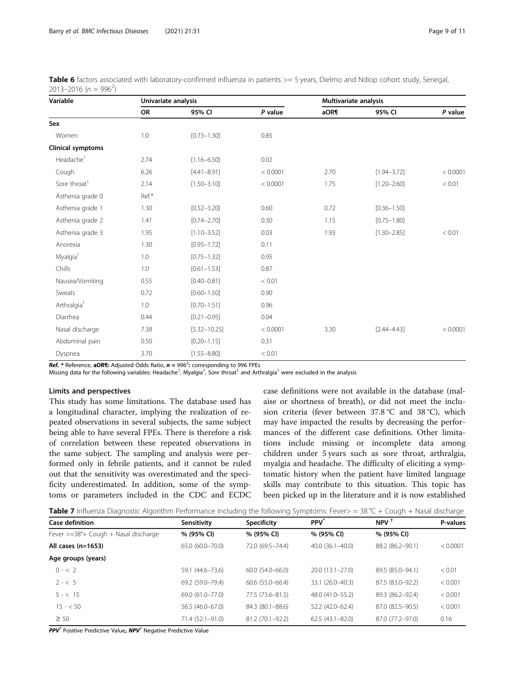| Variable                 | Univariate analysis |                  |          | Multivariate analysis |                 |          |  |
|--------------------------|---------------------|------------------|----------|-----------------------|-----------------|----------|--|
|                          | <b>OR</b>           | 95% CI           | P value  | aOR¶                  | 95% CI          | P value  |  |
| Sex                      |                     |                  |          |                       |                 |          |  |
| Women                    | 1.0                 | $[0.73 - 1.30]$  | 0.85     |                       |                 |          |  |
| Clinical symptoms        |                     |                  |          |                       |                 |          |  |
| Headache <sup>1</sup>    | 2.74                | $[1.16 - 6.50]$  | 0.02     |                       |                 |          |  |
| Cough                    | 6.26                | $[4.41 - 8.91]$  | < 0.0001 | 2.70                  | $[1.94 - 3.72]$ | < 0.0001 |  |
| Sore throat <sup>1</sup> | 2.14                | $[1.50 - 3.10]$  | < 0.0001 | 1.75                  | $[1.20 - 2.60]$ | < 0.01   |  |
| Asthenia grade 0         | Ref.*               |                  |          |                       |                 |          |  |
| Asthenia grade 1         | 1.30                | $[0.52 - 3.20]$  | 0.60     | 0.72                  | $[0.36 - 1.50]$ |          |  |
| Asthenia grade 2         | 1.41                | $[0.74 - 2.70]$  | 0.30     | 1.15                  | $[0.75 - 1.80]$ |          |  |
| Asthenia grade 3         | 1.95                | $[1.10 - 3.52]$  | 0.03     | 1.93                  | $[1.30 - 2.85]$ | < 0.01   |  |
| Anorexia                 | 1.30                | $[0.95 - 1.72]$  | 0.11     |                       |                 |          |  |
| Myalgia <sup>1</sup>     | 1.0                 | $[0.75 - 1.32]$  | 0.95     |                       |                 |          |  |
| Chills                   | 1.0                 | $[0.61 - 1.53]$  | 0.87     |                       |                 |          |  |
| Nausea/Vomiting          | 0.55                | $[0.40 - 0.81]$  | < 0.01   |                       |                 |          |  |
| Sweats                   | 0.72                | $[0.60 - 1.50]$  | 0.90     |                       |                 |          |  |
| Arthralgia <sup>1</sup>  | 1.0                 | $[0.70 - 1.51]$  | 0.96     |                       |                 |          |  |
| Diarrhea                 | 0.44                | $[0.21 - 0.95]$  | 0.04     |                       |                 |          |  |
| Nasal discharge          | 7.38                | $[5.32 - 10.25]$ | < 0.0001 | 3.30                  | $[2.44 - 4.43]$ | < 0.0001 |  |
| Abdominal pain           | 0.50                | $[0.20 - 1.15]$  | 0.31     |                       |                 |          |  |
| Dyspnea                  | 3.70                | $[1.55 - 8.80]$  | < 0.01   |                       |                 |          |  |

<span id="page-8-0"></span>

| Table 6 factors associated with laboratory-confirmed influenza in patients >= 5 years, Dielmo and Ndiop cohort study, Senegal, |  |  |
|--------------------------------------------------------------------------------------------------------------------------------|--|--|
| 2013–2016 ( $n = 996^2$ )                                                                                                      |  |  |

Ref.  $*$  Reference, aOR¶: Adjusted Odds Ratio,  $n = 996^2$ : corresponding to 996 FPEs

Missing data for the following variables: Headache<sup>1</sup>, Myalgia<sup>1</sup>, Sore throat<sup>1</sup> and Arthralgia<sup>1</sup> were excluded in the analysis

# Limits and perspectives

This study has some limitations. The database used has a longitudinal character, implying the realization of repeated observations in several subjects, the same subject being able to have several FPEs. There is therefore a risk of correlation between these repeated observations in the same subject. The sampling and analysis were performed only in febrile patients, and it cannot be ruled out that the sensitivity was overestimated and the specificity underestimated. In addition, some of the symptoms or parameters included in the CDC and ECDC case definitions were not available in the database (malaise or shortness of breath), or did not meet the inclusion criteria (fever between 37.8 °C and 38 °C), which may have impacted the results by decreasing the performances of the different case definitions. Other limitations include missing or incomplete data among children under 5 years such as sore throat, arthralgia, myalgia and headache. The difficulty of eliciting a symptomatic history when the patient have limited language skills may contribute to this situation. This topic has been picked up in the literature and it is now established

| Table 7 Influenza Diagnostic Algorithm Performance Including the following Symptoms: Fever> = 38 °C + Cough + Nasal discharge |  |  |  |
|-------------------------------------------------------------------------------------------------------------------------------|--|--|--|
|-------------------------------------------------------------------------------------------------------------------------------|--|--|--|

| <b>Case definition</b>               | Sensitivity      | Specificity            | <b>PPV</b>             | NPV <sup>1</sup> | P-values |
|--------------------------------------|------------------|------------------------|------------------------|------------------|----------|
| Fever >=38°+ Cough + Nasal discharge | % (95% CI)       | % (95% CI)             | % (95% CI)             | % (95% CI)       |          |
| All cases $(n=1653)$                 | 65.0 (60.0-70.0) | 72.0 (69.5 - 74.4)     | $40.0$ $(36.1 - 40.0)$ | 88.2 (86.2-90.1) | < 0.0001 |
| Age groups (years)                   |                  |                        |                        |                  |          |
| $0 - 2$                              | 59.1 (44.6-73.6) | $60.0$ $(54.0 - 66.0)$ | $20.0(13.1 - 27.0)$    | 89.5 (85.0-94.1) | < 0.01   |
| $2 - 5$                              | 69.2 (59.0-79.4) | $60.6(55.0 - 66.4)$    | 33.1 (26.0-40.3)       | 87.5 (83.0-92.2) | < 0.001  |
| $5 - < 15$                           | 69.0 (61.0-77.0) | 77.5 (73.6-81.5)       | 48.0 (41.0–55.2)       | 89.3 (86.2-92.4) | < 0.001  |
| $15 - 50$                            | 56.5 (46.0-67.0) | 84.3 (80.1-88.6)       | 52.2 (42.0-62.4)       | 87.0 (82.5-90.5) | < 0.001  |
| $\geq 50$                            | 71.4 (52.1-91.0) | 81.2 (70.1-92.2)       | $62.5(43.1 - 82.0)$    | 87.0 (77.2-97.0) | 0.16     |

PPV<sup>\*</sup> Positive Predictive Value, NPV<sup>†</sup> Negative Predictive Value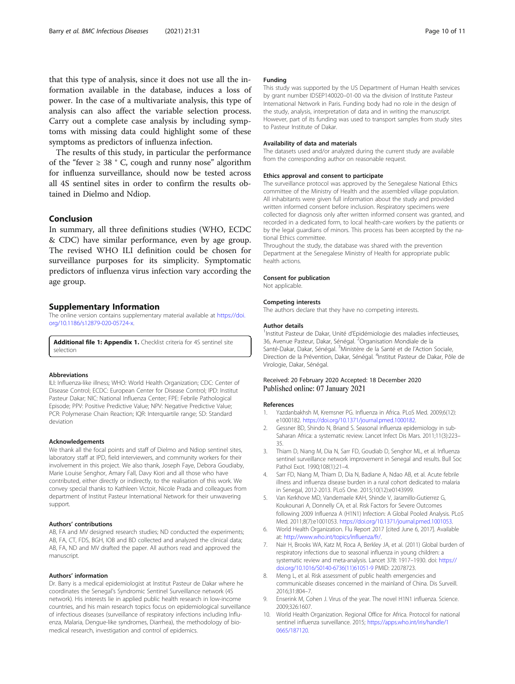<span id="page-9-0"></span>that this type of analysis, since it does not use all the information available in the database, induces a loss of power. In the case of a multivariate analysis, this type of analysis can also affect the variable selection process. Carry out a complete case analysis by including symptoms with missing data could highlight some of these symptoms as predictors of influenza infection.

The results of this study, in particular the performance of the "fever  $\geq$  38 ° C, cough and runny nose" algorithm for influenza surveillance, should now be tested across all 4S sentinel sites in order to confirm the results obtained in Dielmo and Ndiop.

# Conclusion

In summary, all three definitions studies (WHO, ECDC & CDC) have similar performance, even by age group. The revised WHO ILI definition could be chosen for surveillance purposes for its simplicity. Symptomatic predictors of influenza virus infection vary according the age group.

# Supplementary Information

The online version contains supplementary material available at [https://doi.](https://doi.org/10.1186/s12879-020-05724-x) [org/10.1186/s12879-020-05724-x](https://doi.org/10.1186/s12879-020-05724-x).

Additional file 1: Appendix 1. Checklist criteria for 4S sentinel site selection

# Abbreviations

ILI: Influenza-like illness; WHO: World Health Organization; CDC: Center of Disease Control; ECDC: European Center for Disease Control; IPD: Institut Pasteur Dakar; NIC: National Influenza Center; FPE: Febrile Pathological Episode; PPV: Positive Predictive Value; NPV: Negative Predictive Value; PCR: Polymerase Chain Reaction; IQR: Interquartile range; SD: Standard deviation

# Acknowledgements

We thank all the focal points and staff of Dielmo and Ndiop sentinel sites, laboratory staff at IPD, field interviewers, and community workers for their involvement in this project. We also thank, Joseph Faye, Debora Goudiaby, Marie Louise Senghor, Amary Fall, Davy Kiori and all those who have contributed, either directly or indirectly, to the realisation of this work. We convey special thanks to Kathleen Victoir, Nicole Prada and colleagues from department of Institut Pasteur International Network for their unwavering support.

#### Authors' contributions

AB, FA and MV designed research studies; ND conducted the experiments; AB, FA, CT, FDS, BGH, IOB and BD collected and analyzed the clinical data; AB, FA, ND and MV drafted the paper. All authors read and approved the manuscript.

#### Authors' information

Dr. Barry is a medical epidemiologist at Institut Pasteur de Dakar where he coordinates the Senegal's Syndromic Sentinel Surveillance network (4S network). His interests lie in applied public health research in low-income countries, and his main research topics focus on epidemiological surveillance of infectious diseases (surveillance of respiratory infections including Influenza, Malaria, Dengue-like syndromes, Diarrhea), the methodology of biomedical research, investigation and control of epidemics.

# Funding

This study was supported by the US Department of Human Health services by grant number IDSEP140020–01-00 via the division of Institute Pasteur International Network in Paris. Funding body had no role in the design of the study, analysis, interpretation of data and in writing the manuscript. However, part of its funding was used to transport samples from study sites to Pasteur Institute of Dakar.

# Availability of data and materials

The datasets used and/or analyzed during the current study are available from the corresponding author on reasonable request.

# Ethics approval and consent to participate

The surveillance protocol was approved by the Senegalese National Ethics committee of the Ministry of Health and the assembled village population. All inhabitants were given full information about the study and provided written informed consent before inclusion. Respiratory specimens were collected for diagnosis only after written informed consent was granted, and recorded in a dedicated form, to local health-care workers by the patients or by the legal guardians of minors. This process has been accepted by the national Ethics committee.

Throughout the study, the database was shared with the prevention Department at the Senegalese Ministry of Health for appropriate public health actions.

# Consent for publication

Not applicable.

#### Competing interests

The authors declare that they have no competing interests.

#### Author details

<sup>1</sup>Institut Pasteur de Dakar, Unité d'Epidémiologie des maladies infectieuses, 36, Avenue Pasteur, Dakar, Sénégal. <sup>2</sup>Organisation Mondiale de la Santé-Dakar, Dakar, Sénégal. <sup>3</sup>Ministère de la Santé et de l'Action Sociale Direction de la Prévention, Dakar, Sénégal. <sup>4</sup>Institut Pasteur de Dakar, Pôle de Virologie, Dakar, Sénégal.

# Received: 20 February 2020 Accepted: 18 December 2020 Published online: 07 January 2021

#### References

- 1. Yazdanbakhsh M, Kremsner PG. Influenza in Africa. PLoS Med. 2009;6(12): e1000182. <https://doi.org/10.1371/journal.pmed.1000182>.
- Gessner BD, Shindo N, Briand S. Seasonal influenza epidemiology in sub-Saharan Africa: a systematic review. Lancet Infect Dis Mars. 2011;11(3):223– 35.
- 3. Thiam D, Niang M, Dia N, Sarr FD, Goudiab D, Senghor ML, et al. Influenza sentinel surveillance network improvement in Senegal and results. Bull Soc Pathol Exot. 1990;108(1):21–4.
- 4. Sarr FD, Niang M, Thiam D, Dia N, Badiane A, Ndao AB, et al. Acute febrile illness and influenza disease burden in a rural cohort dedicated to malaria in Senegal, 2012-2013. PLoS One. 2015;10(12):e0143999.
- 5. Van Kerkhove MD, Vandemaele KAH, Shinde V, Jaramillo-Gutierrez G, Koukounari A, Donnelly CA, et al. Risk Factors for Severe Outcomes following 2009 Influenza A (H1N1) Infection: A Global Pooled Analysis. PLoS Med. 2011;8(7):e1001053. [https://doi.org/10.1371/journal.pmed.1001053.](https://doi.org/10.1371/journal.pmed.1001053)
- 6. World Health Organization. Flu Report 2017 [cited June 6, 2017]. Available at: [http://www.who.int/topics/influenza/fr/.](http://www.who.int/topics/influenza/fr/)
- 7. Nair H, Brooks WA, Katz M, Roca A, Berkley JA, et al. (2011) Global burden of respiratory infections due to seasonal influenza in young children: a systematic review and meta-analysis. Lancet 378: 1917–1930. doi: [https://](https://doi.org/10.1016/S0140-6736(11)61051-9) [doi.org/10.1016/S0140-6736\(11\)61051-9](https://doi.org/10.1016/S0140-6736(11)61051-9) PMID: 22078723.
- 8. Meng L, et al. Risk assessment of public health emergencies and communicable diseases concerned in the mainland of China. Dis Surveill. 2016;31:804–7.
- Enserink M, Cohen J. Virus of the year. The novel H1N1 influenza. Science. 2009;326:1607.
- 10. World Health Organization. Regional Office for Africa. Protocol for national sentinel influenza surveillance. 2015; [https://apps.who.int/iris/handle/1](https://apps.who.int/iris/handle/10665/187120) [0665/187120](https://apps.who.int/iris/handle/10665/187120).